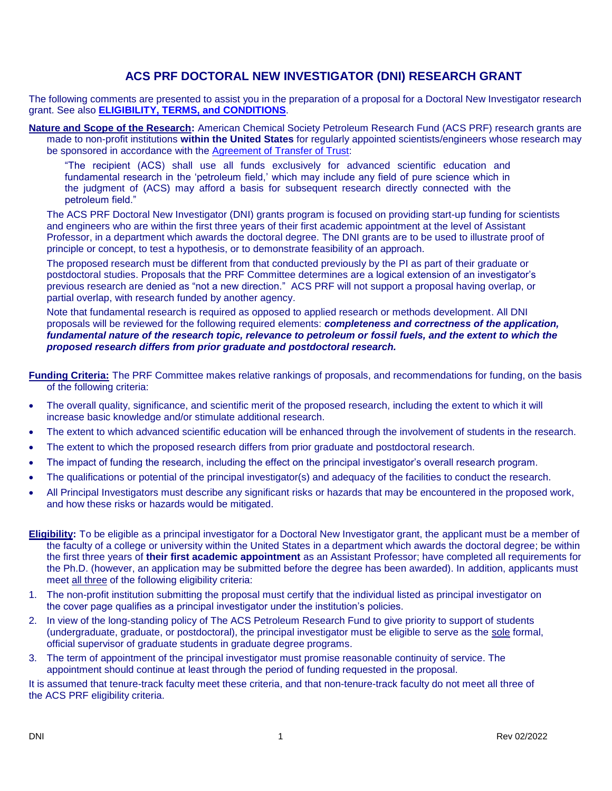## **ACS PRF DOCTORAL NEW INVESTIGATOR (DNI) RESEARCH GRANT**

The following comments are presented to assist you in the preparation of a proposal for a Doctoral New Investigator research grant. See also **[ELIGIBILITY, TERMS, and CONDITIONS](https://www.acs.org/content/dam/acsorg/funding/grants/prf/programs/dni/dni-etc-may2021.pdf)**.

**Nature and Scope of the Research:** American Chemical Society Petroleum Research Fund (ACS PRF) research grants are made to non-profit institutions **within the United States** for regularly appointed scientists/engineers whose research may be sponsored in accordance with the [Agreement of Transfer of Trust:](https://www.acs.org/content/dam/acsorg/funding/grants/prf/prf-transfer-agreement.pdf)

"The recipient (ACS) shall use all funds exclusively for advanced scientific education and fundamental research in the 'petroleum field,' which may include any field of pure science which in the judgment of (ACS) may afford a basis for subsequent research directly connected with the petroleum field."

The ACS PRF Doctoral New Investigator (DNI) grants program is focused on providing start-up funding for scientists and engineers who are within the first three years of their first academic appointment at the level of Assistant Professor, in a department which awards the doctoral degree. The DNI grants are to be used to illustrate proof of principle or concept, to test a hypothesis, or to demonstrate feasibility of an approach.

The proposed research must be different from that conducted previously by the PI as part of their graduate or postdoctoral studies. Proposals that the PRF Committee determines are a logical extension of an investigator's previous research are denied as "not a new direction." ACS PRF will not support a proposal having overlap, or partial overlap, with research funded by another agency.

Note that fundamental research is required as opposed to applied research or methods development. All DNI proposals will be reviewed for the following required elements: *completeness and correctness of the application, fundamental nature of the research topic, relevance to petroleum or fossil fuels, and the extent to which the proposed research differs from prior graduate and postdoctoral research.*

**Funding Criteria:** The PRF Committee makes relative rankings of proposals, and recommendations for funding, on the basis of the following criteria:

- The overall quality, significance, and scientific merit of the proposed research, including the extent to which it will increase basic knowledge and/or stimulate additional research.
- The extent to which advanced scientific education will be enhanced through the involvement of students in the research.
- The extent to which the proposed research differs from prior graduate and postdoctoral research.
- The impact of funding the research, including the effect on the principal investigator's overall research program.
- The qualifications or potential of the principal investigator(s) and adequacy of the facilities to conduct the research.
- All Principal Investigators must describe any significant risks or hazards that may be encountered in the proposed work, and how these risks or hazards would be mitigated.
- **Eligibility:** To be eligible as a principal investigator for a Doctoral New Investigator grant, the applicant must be a member of the faculty of a college or university within the United States in a department which awards the doctoral degree; be within the first three years of **their first academic appointment** as an Assistant Professor; have completed all requirements for the Ph.D. (however, an application may be submitted before the degree has been awarded). In addition, applicants must meet all three of the following eligibility criteria:
- 1. The non-profit institution submitting the proposal must certify that the individual listed as principal investigator on the cover page qualifies as a principal investigator under the institution's policies.
- 2. In view of the long-standing policy of The ACS Petroleum Research Fund to give priority to support of students (undergraduate, graduate, or postdoctoral), the principal investigator must be eligible to serve as the sole formal, official supervisor of graduate students in graduate degree programs.
- 3. The term of appointment of the principal investigator must promise reasonable continuity of service. The appointment should continue at least through the period of funding requested in the proposal.

It is assumed that tenure-track faculty meet these criteria, and that non-tenure-track faculty do not meet all three of the ACS PRF eligibility criteria.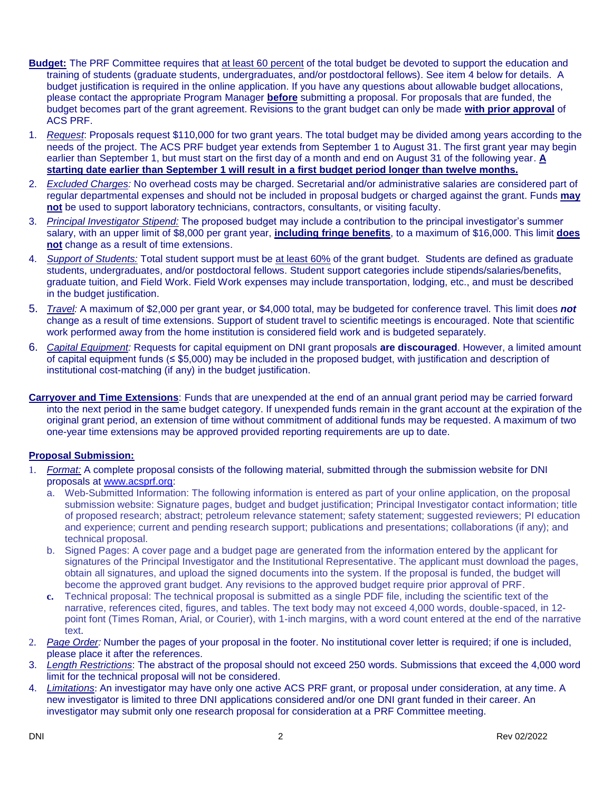- **Budget:** The PRF Committee requires that at least 60 percent of the total budget be devoted to support the education and training of students (graduate students, undergraduates, and/or postdoctoral fellows). See item 4 below for details. A budget justification is required in the online application. If you have any questions about allowable budget allocations, please contact the appropriate Program Manager **before** submitting a proposal. For proposals that are funded, the budget becomes part of the grant agreement. Revisions to the grant budget can only be made **with prior approval** of ACS PRF.
- 1. *Request*: Proposals request \$110,000 for two grant years. The total budget may be divided among years according to the needs of the project. The ACS PRF budget year extends from September 1 to August 31. The first grant year may begin earlier than September 1, but must start on the first day of a month and end on August 31 of the following year. **A starting date earlier than September 1 will result in a first budget period longer than twelve months.**
- 2. *Excluded Charges:* No overhead costs may be charged. Secretarial and/or administrative salaries are considered part of regular departmental expenses and should not be included in proposal budgets or charged against the grant. Funds **may not** be used to support laboratory technicians, contractors, consultants, or visiting faculty.
- 3. *Principal Investigator Stipend:* The proposed budget may include a contribution to the principal investigator's summer salary, with an upper limit of \$8,000 per grant year, **including fringe benefits**, to a maximum of \$16,000. This limit **does not** change as a result of time extensions.
- 4. *Support of Students:* Total student support must be at least 60% of the grant budget. Students are defined as graduate students, undergraduates, and/or postdoctoral fellows. Student support categories include stipends/salaries/benefits, graduate tuition, and Field Work. Field Work expenses may include transportation, lodging, etc., and must be described in the budget justification.
- 5. *Travel:* A maximum of \$2,000 per grant year, or \$4,000 total, may be budgeted for conference travel. This limit does *not* change as a result of time extensions. Support of student travel to scientific meetings is encouraged. Note that scientific work performed away from the home institution is considered field work and is budgeted separately.
- 6. *Capital Equipment:* Requests for capital equipment on DNI grant proposals **are discouraged**. However, a limited amount of capital equipment funds (≤ \$5,000) may be included in the proposed budget, with justification and description of institutional cost-matching (if any) in the budget justification.
- **Carryover and Time Extensions**: Funds that are unexpended at the end of an annual grant period may be carried forward into the next period in the same budget category. If unexpended funds remain in the grant account at the expiration of the original grant period, an extension of time without commitment of additional funds may be requested. A maximum of two one-year time extensions may be approved provided reporting requirements are up to date.

## **Proposal Submission:**

- 1. *Format:* A complete proposal consists of the following material, submitted through the submission website for DNI proposals at [www.acsprf.org:](https://www.acs.org/content/acs/en/funding/grants/petroleum-research-fund.html)
	- a. Web-Submitted Information: The following information is entered as part of your online application, on the proposal submission website: Signature pages, budget and budget justification; Principal Investigator contact information; title of proposed research; abstract; petroleum relevance statement; safety statement; suggested reviewers; PI education and experience; current and pending research support; publications and presentations; collaborations (if any); and technical proposal.
	- b. Signed Pages: A cover page and a budget page are generated from the information entered by the applicant for signatures of the Principal Investigator and the Institutional Representative. The applicant must download the pages, obtain all signatures, and upload the signed documents into the system. If the proposal is funded, the budget will become the approved grant budget. Any revisions to the approved budget require prior approval of PRF.
	- **c.** Technical proposal: The technical proposal is submitted as a single PDF file, including the scientific text of the narrative, references cited, figures, and tables. The text body may not exceed 4,000 words, double-spaced, in 12 point font (Times Roman, Arial, or Courier), with 1-inch margins, with a word count entered at the end of the narrative text.
- 2. *Page Order:* Number the pages of your proposal in the footer. No institutional cover letter is required; if one is included, please place it after the references.
- 3. *Length Restrictions*: The abstract of the proposal should not exceed 250 words. Submissions that exceed the 4,000 word limit for the technical proposal will not be considered.
- 4. *Limitations*: An investigator may have only one active ACS PRF grant, or proposal under consideration, at any time. A new investigator is limited to three DNI applications considered and/or one DNI grant funded in their career. An investigator may submit only one research proposal for consideration at a PRF Committee meeting.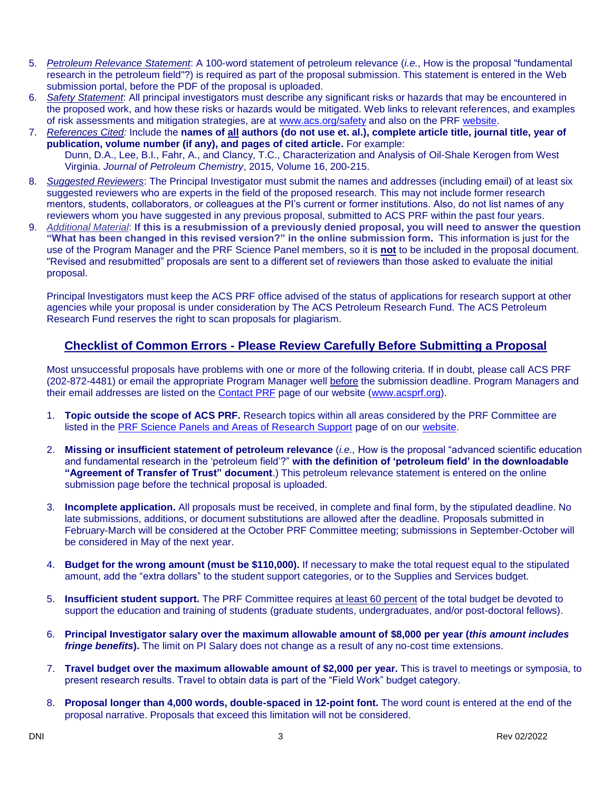- 5. *Petroleum Relevance Statement*: A 100-word statement of petroleum relevance (*i.e.*, How is the proposal "fundamental research in the petroleum field"?) is required as part of the proposal submission. This statement is entered in the Web submission portal, before the PDF of the proposal is uploaded.
- 6. *Safety Statement*: All principal investigators must describe any significant risks or hazards that may be encountered in the proposed work, and how these risks or hazards would be mitigated. Web links to relevant references, and examples of risk assessments and mitigation strategies, are at [www.acs.org/safety](http://www.acs.org/safety) and also on the PRF [website.](https://www.acs.org/content/acs/en/funding/grants/petroleum-research-fund.html)
- 7. *References Cited:* Include the **names of all authors (do not use et. al.), complete article title, journal title, year of publication, volume number (if any), and pages of cited article.** For example: Dunn, D.A., Lee, B.I., Fahr, A., and Clancy, T.C., Characterization and Analysis of Oil-Shale Kerogen from West Virginia. *Journal of Petroleum Chemistry*, 2015, Volume 16, 200-215.
- 8. *Suggested Reviewers*: The Principal Investigator must submit the names and addresses (including email) of at least six suggested reviewers who are experts in the field of the proposed research. This may not include former research mentors, students, collaborators, or colleagues at the PI's current or former institutions. Also, do not list names of any reviewers whom you have suggested in any previous proposal, submitted to ACS PRF within the past four years.
- 9. *Additional Material*: **If this is a resubmission of a previously denied proposal, you will need to answer the question "What has been changed in this revised version?" in the online submission form.** This information is just for the use of the Program Manager and the PRF Science Panel members, so it is **not** to be included in the proposal document. "Revised and resubmitted" proposals are sent to a different set of reviewers than those asked to evaluate the initial proposal.

Principal lnvestigators must keep the ACS PRF office advised of the status of applications for research support at other agencies while your proposal is under consideration by The ACS Petroleum Research Fund. The ACS Petroleum Research Fund reserves the right to scan proposals for plagiarism.

## **Checklist of Common Errors - Please Review Carefully Before Submitting a Proposal**

Most unsuccessful proposals have problems with one or more of the following criteria. If in doubt, please call ACS PRF (202-872-4481) or email the appropriate Program Manager well before the submission deadline. Program Managers and their email addresses are listed on the [Contact PRF](https://www.acs.org/content/acs/en/funding/grants/petroleum-research-fund/contact.html) page of our website [\(www.acsprf.org\)](https://www.acs.org/content/acs/en/funding/grants/petroleum-research-fund.html).

- 1. **Topic outside the scope of ACS PRF.** Research topics within all areas considered by the PRF Committee are listed in the [PRF Science Panels and Areas of Research Support](https://www.acs.org/content/acs/en/funding/grants/petroleum-research-fund/about/research-areas.html) page of on our [website.](https://www.acs.org/content/acs/en/funding/grants/petroleum-research-fund.html)
- 2. **Missing or insufficient statement of petroleum relevance** (*i.e.,* How is the proposal "advanced scientific education and fundamental research in the 'petroleum field'?" **with the definition of 'petroleum field' in the downloadable "Agreement of Transfer of Trust" document**.) This petroleum relevance statement is entered on the online submission page before the technical proposal is uploaded.
- 3. **Incomplete application.** All proposals must be received, in complete and final form, by the stipulated deadline. No late submissions, additions, or document substitutions are allowed after the deadline. Proposals submitted in February-March will be considered at the October PRF Committee meeting; submissions in September-October will be considered in May of the next year.
- 4. **Budget for the wrong amount (must be \$110,000).** If necessary to make the total request equal to the stipulated amount, add the "extra dollars" to the student support categories, or to the Supplies and Services budget.
- 5. **Insufficient student support.** The PRF Committee requires at least 60 percent of the total budget be devoted to support the education and training of students (graduate students, undergraduates, and/or post-doctoral fellows).
- 6. **Principal Investigator salary over the maximum allowable amount of \$8,000 per year (***this amount includes fringe benefits***).** The limit on PI Salary does not change as a result of any no-cost time extensions.
- 7. **Travel budget over the maximum allowable amount of \$2,000 per year.** This is travel to meetings or symposia, to present research results. Travel to obtain data is part of the "Field Work" budget category.
- 8. **Proposal longer than 4,000 words, double-spaced in 12-point font.** The word count is entered at the end of the proposal narrative. Proposals that exceed this limitation will not be considered.